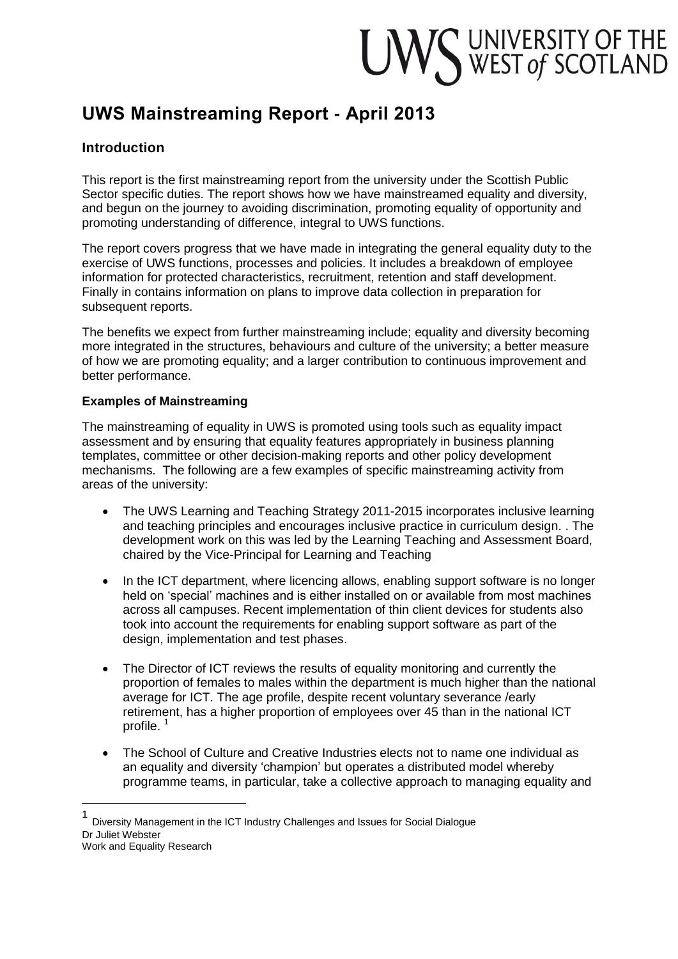# UWS UNIVERSITY OF THE WEST of SCOTLAND

# **UWS Mainstreaming Report - April 2013**

# **Introduction**

This report is the first mainstreaming report from the university under the Scottish Public Sector specific duties. The report shows how we have mainstreamed equality and diversity, and begun on the journey to avoiding discrimination, promoting equality of opportunity and promoting understanding of difference, integral to UWS functions.

The report covers progress that we have made in integrating the general equality duty to the exercise of UWS functions, processes and policies. It includes a breakdown of employee information for protected characteristics, recruitment, retention and staff development. Finally in contains information on plans to improve data collection in preparation for subsequent reports.

The benefits we expect from further mainstreaming include; equality and diversity becoming more integrated in the structures, behaviours and culture of the university; a better measure of how we are promoting equality; and a larger contribution to continuous improvement and better performance.

#### **Examples of Mainstreaming**

 $\overline{a}$ 

The mainstreaming of equality in UWS is promoted using tools such as equality impact assessment and by ensuring that equality features appropriately in business planning templates, committee or other decision-making reports and other policy development mechanisms. The following are a few examples of specific mainstreaming activity from areas of the university:

- The UWS Learning and Teaching Strategy 2011-2015 incorporates inclusive learning and teaching principles and encourages inclusive practice in curriculum design. . The development work on this was led by the Learning Teaching and Assessment Board, chaired by the Vice-Principal for Learning and Teaching
- In the ICT department, where licencing allows, enabling support software is no longer held on 'special' machines and is either installed on or available from most machines across all campuses. Recent implementation of thin client devices for students also took into account the requirements for enabling support software as part of the design, implementation and test phases.
- The Director of ICT reviews the results of equality monitoring and currently the proportion of females to males within the department is much higher than the national average for ICT. The age profile, despite recent voluntary severance /early retirement, has a higher proportion of employees over 45 than in the national ICT profile.  $<sup>1</sup>$ </sup>
- The School of Culture and Creative Industries elects not to name one individual as an equality and diversity 'champion' but operates a distributed model whereby programme teams, in particular, take a collective approach to managing equality and

<sup>1</sup> Diversity Management in the ICT Industry Challenges and Issues for Social Dialogue Dr Juliet Webster Work and Equality Research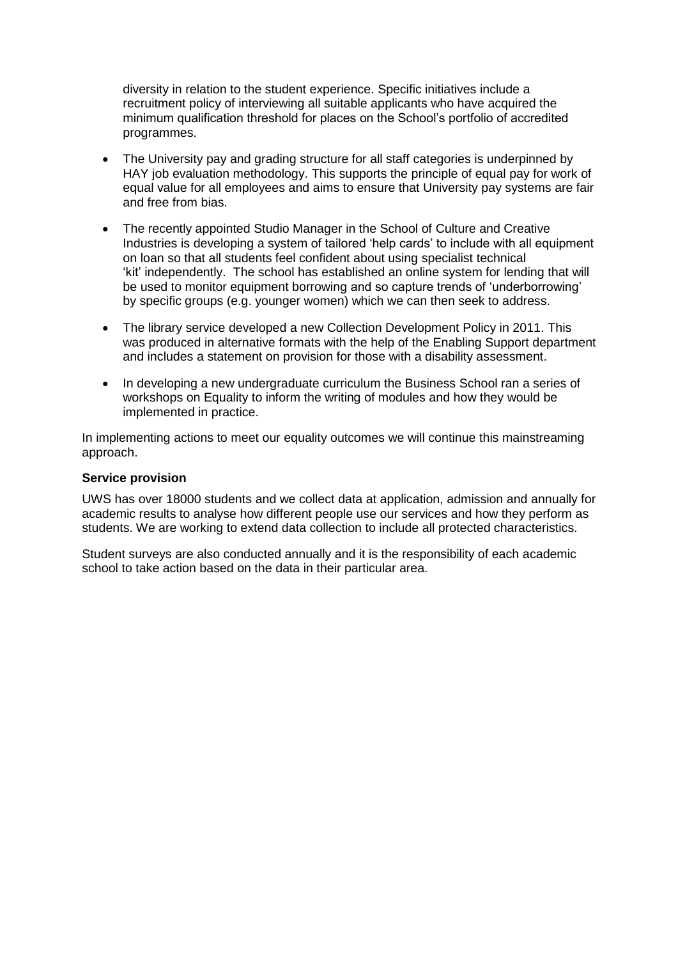diversity in relation to the student experience. Specific initiatives include a recruitment policy of interviewing all suitable applicants who have acquired the minimum qualification threshold for places on the School's portfolio of accredited programmes.

- The University pay and grading structure for all staff categories is underpinned by HAY job evaluation methodology. This supports the principle of equal pay for work of equal value for all employees and aims to ensure that University pay systems are fair and free from bias.
- The recently appointed Studio Manager in the School of Culture and Creative Industries is developing a system of tailored 'help cards' to include with all equipment on loan so that all students feel confident about using specialist technical 'kit' independently. The school has established an online system for lending that will be used to monitor equipment borrowing and so capture trends of 'underborrowing' by specific groups (e.g. younger women) which we can then seek to address.
- The library service developed a new Collection Development Policy in 2011. This was produced in alternative formats with the help of the Enabling Support department and includes a statement on provision for those with a disability assessment.
- In developing a new undergraduate curriculum the Business School ran a series of workshops on Equality to inform the writing of modules and how they would be implemented in practice.

In implementing actions to meet our equality outcomes we will continue this mainstreaming approach.

#### **Service provision**

UWS has over 18000 students and we collect data at application, admission and annually for academic results to analyse how different people use our services and how they perform as students. We are working to extend data collection to include all protected characteristics.

Student surveys are also conducted annually and it is the responsibility of each academic school to take action based on the data in their particular area.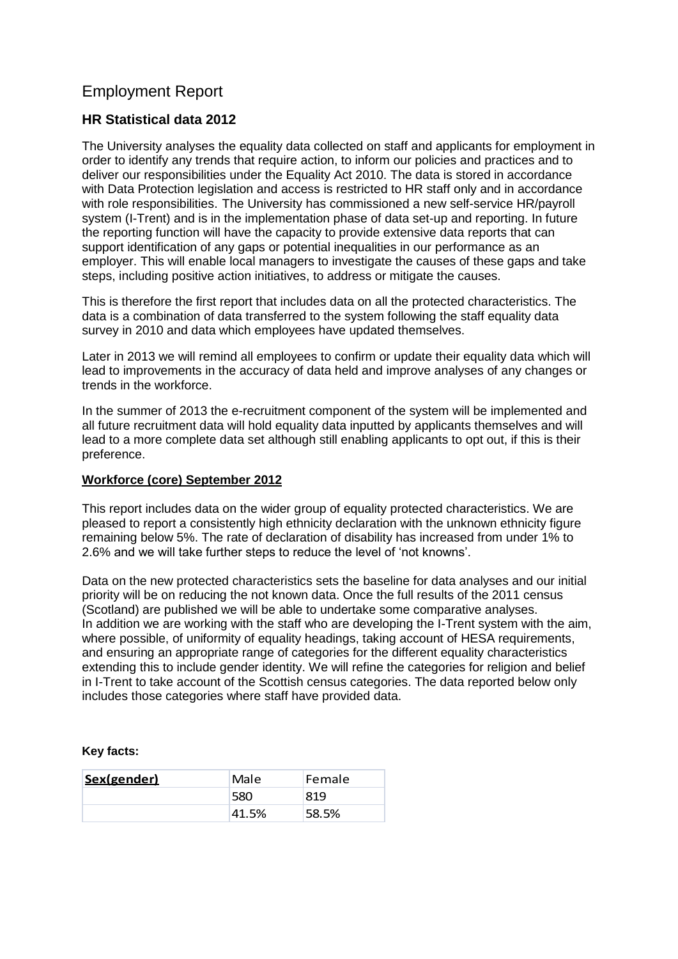# Employment Report

# **HR Statistical data 2012**

The University analyses the equality data collected on staff and applicants for employment in order to identify any trends that require action, to inform our policies and practices and to deliver our responsibilities under the Equality Act 2010. The data is stored in accordance with Data Protection legislation and access is restricted to HR staff only and in accordance with role responsibilities. The University has commissioned a new self-service HR/payroll system (I-Trent) and is in the implementation phase of data set-up and reporting. In future the reporting function will have the capacity to provide extensive data reports that can support identification of any gaps or potential inequalities in our performance as an employer. This will enable local managers to investigate the causes of these gaps and take steps, including positive action initiatives, to address or mitigate the causes.

This is therefore the first report that includes data on all the protected characteristics. The data is a combination of data transferred to the system following the staff equality data survey in 2010 and data which employees have updated themselves.

Later in 2013 we will remind all employees to confirm or update their equality data which will lead to improvements in the accuracy of data held and improve analyses of any changes or trends in the workforce.

In the summer of 2013 the e-recruitment component of the system will be implemented and all future recruitment data will hold equality data inputted by applicants themselves and will lead to a more complete data set although still enabling applicants to opt out, if this is their preference.

#### **Workforce (core) September 2012**

This report includes data on the wider group of equality protected characteristics. We are pleased to report a consistently high ethnicity declaration with the unknown ethnicity figure remaining below 5%. The rate of declaration of disability has increased from under 1% to 2.6% and we will take further steps to reduce the level of 'not knowns'.

Data on the new protected characteristics sets the baseline for data analyses and our initial priority will be on reducing the not known data. Once the full results of the 2011 census (Scotland) are published we will be able to undertake some comparative analyses. In addition we are working with the staff who are developing the I-Trent system with the aim, where possible, of uniformity of equality headings, taking account of HESA requirements, and ensuring an appropriate range of categories for the different equality characteristics extending this to include gender identity. We will refine the categories for religion and belief in I-Trent to take account of the Scottish census categories. The data reported below only includes those categories where staff have provided data.

#### **Key facts:**

| Sex(gender) | Male  | Female |
|-------------|-------|--------|
|             | 580   | 819    |
|             | 41.5% | 58.5%  |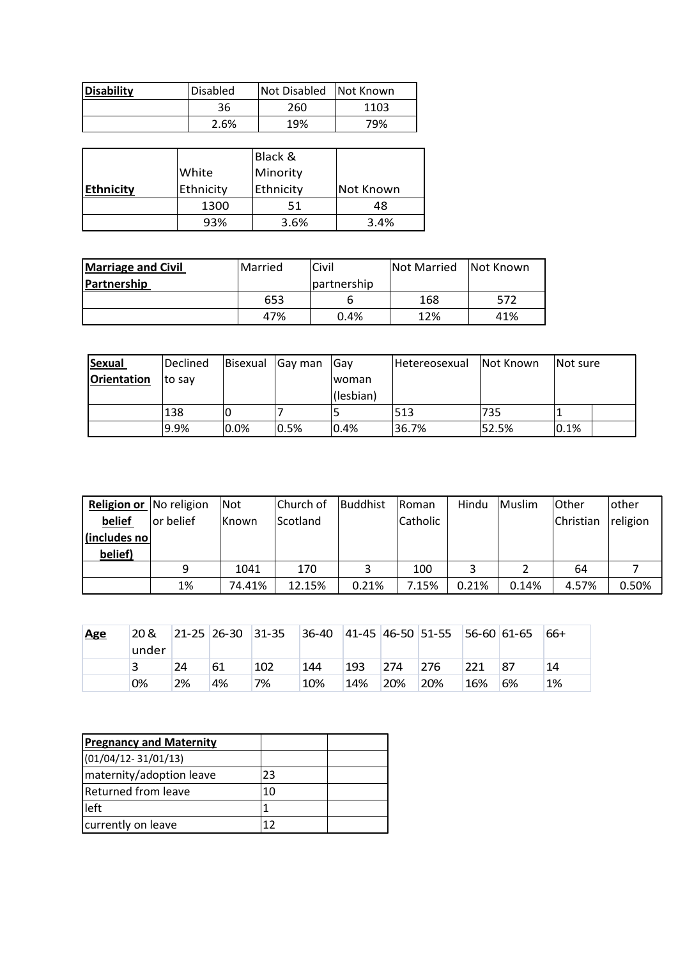| <b>Disability</b> | <b>Disabled</b> | Not Disabled | Not Known |  |
|-------------------|-----------------|--------------|-----------|--|
|                   | 36<br>260       |              | 1103      |  |
|                   | 2.6%            | 19%          | 79%       |  |

|                  |           | Black &   |           |
|------------------|-----------|-----------|-----------|
|                  | White     | Minority  |           |
| <b>Ethnicity</b> | Ethnicity | Ethnicity | Not Known |
|                  | 1300      | 51        | 48        |
|                  | 93%       | 3.6%      | 3.4%      |

| <b>Marriage and Civil</b> | <b>Married</b> | Civil       | Not Married | Not Known |  |
|---------------------------|----------------|-------------|-------------|-----------|--|
| <b>Partnership</b>        |                | partnership |             |           |  |
|                           | 653            |             | 168         | 572       |  |
|                           | 47%            | 0.4%        | 12%         | 41%       |  |

| <b>Sexual</b> | Declined | Bisexual | Gay man | ∣Gav      | Hetereosexual | Not Known | Not sure |
|---------------|----------|----------|---------|-----------|---------------|-----------|----------|
| Orientation   | Ito sav  |          |         | Iwoman    |               |           |          |
|               |          |          |         | (lesbian) |               |           |          |
|               | 138      |          |         |           | 513           | 735       |          |
|               | 9.9%     | 0.0%     | 0.5%    | 0.4%      | 36.7%         | 52.5%     | 0.1%     |

| <b>Religion or</b> No religion |           | Not          | Church of | Buddhist | <b>Roman</b> | Hindu | Muslim | Other     | other    |
|--------------------------------|-----------|--------------|-----------|----------|--------------|-------|--------|-----------|----------|
| belief                         | or belief | <b>Known</b> | Scotland  |          | Catholic     |       |        | Christian | religion |
| (includes no                   |           |              |           |          |              |       |        |           |          |
| belief)                        |           |              |           |          |              |       |        |           |          |
|                                | 9         | 1041         | 170       |          | 100          |       |        | 64        |          |
|                                | 1%        | 74.41%       | 12.15%    | 0.21%    | 7.15%        | 0.21% | 0.14%  | 4.57%     | 0.50%    |

| <b>Age</b> | 20 &<br>under |    | $ 21-25 26-30 31-35$ |     |     |     |     | $ 36-40 \t  41-45 \t  46-50 \t  51-55 \t  56-60 \t  61-65 \t$ |     |    | 66+ |
|------------|---------------|----|----------------------|-----|-----|-----|-----|---------------------------------------------------------------|-----|----|-----|
|            |               | 24 | 61                   | 102 | 144 | 193 | 274 | 276                                                           | 221 | 87 | 14  |
|            | 0%            | 2% | 4%                   | 7%  | 10% | 14% | 20% | 20%                                                           | 16% | 6% | 1%  |

| <b>Pregnancy and Maternity</b> |    |  |
|--------------------------------|----|--|
| $(01/04/12 - 31/01/13)$        |    |  |
| maternity/adoption leave       | 23 |  |
| Returned from leave            | 10 |  |
| left                           |    |  |
| currently on leave             | 17 |  |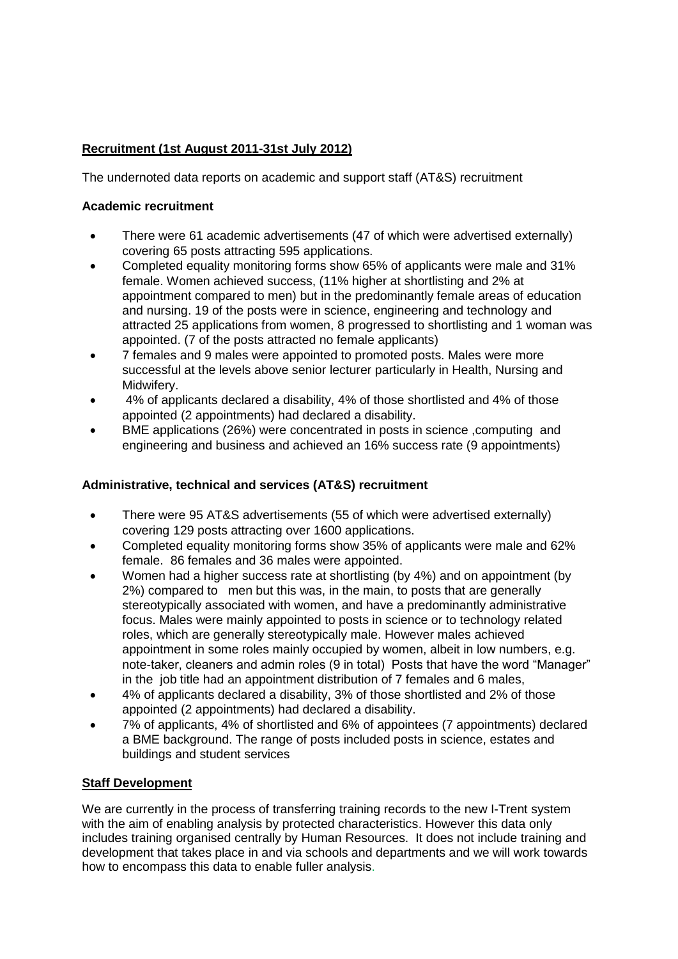# **Recruitment (1st August 2011-31st July 2012)**

The undernoted data reports on academic and support staff (AT&S) recruitment

#### **Academic recruitment**

- There were 61 academic advertisements (47 of which were advertised externally) covering 65 posts attracting 595 applications.
- Completed equality monitoring forms show 65% of applicants were male and 31% female. Women achieved success, (11% higher at shortlisting and 2% at appointment compared to men) but in the predominantly female areas of education and nursing. 19 of the posts were in science, engineering and technology and attracted 25 applications from women, 8 progressed to shortlisting and 1 woman was appointed. (7 of the posts attracted no female applicants)
- 7 females and 9 males were appointed to promoted posts. Males were more successful at the levels above senior lecturer particularly in Health, Nursing and Midwifery.
- 4% of applicants declared a disability, 4% of those shortlisted and 4% of those appointed (2 appointments) had declared a disability.
- BME applications (26%) were concentrated in posts in science ,computing and engineering and business and achieved an 16% success rate (9 appointments)

## **Administrative, technical and services (AT&S) recruitment**

- There were 95 AT&S advertisements (55 of which were advertised externally) covering 129 posts attracting over 1600 applications.
- Completed equality monitoring forms show 35% of applicants were male and 62% female. 86 females and 36 males were appointed.
- Women had a higher success rate at shortlisting (by 4%) and on appointment (by 2%) compared to men but this was, in the main, to posts that are generally stereotypically associated with women, and have a predominantly administrative focus. Males were mainly appointed to posts in science or to technology related roles, which are generally stereotypically male. However males achieved appointment in some roles mainly occupied by women, albeit in low numbers, e.g. note-taker, cleaners and admin roles (9 in total) Posts that have the word "Manager" in the job title had an appointment distribution of 7 females and 6 males,
- 4% of applicants declared a disability, 3% of those shortlisted and 2% of those appointed (2 appointments) had declared a disability.
- 7% of applicants, 4% of shortlisted and 6% of appointees (7 appointments) declared a BME background. The range of posts included posts in science, estates and buildings and student services

## **Staff Development**

We are currently in the process of transferring training records to the new I-Trent system with the aim of enabling analysis by protected characteristics. However this data only includes training organised centrally by Human Resources. It does not include training and development that takes place in and via schools and departments and we will work towards how to encompass this data to enable fuller analysis.